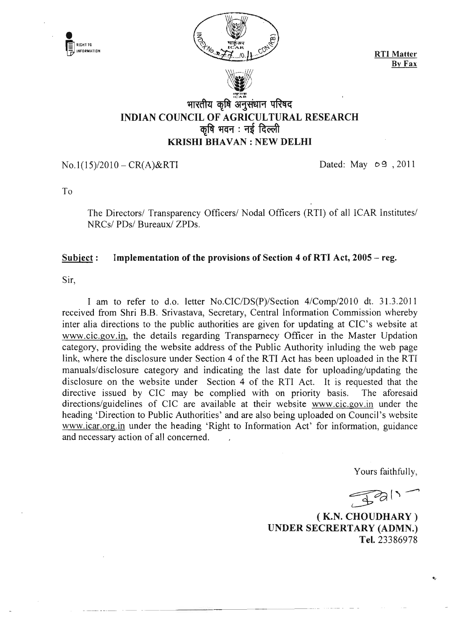

 $No.1(15)/2010 - CR(A) & RTI$  Dated: May  $\circ$  9, 2011

--------- -.~ --~-------------~

To

r:J

The Directors/ Transparency Officers/ Nodal Officers (RTI) of all ICAR Institutes/ NRCs/ PDs/ Bureaux/ ZPDs.

## Subject: Implementation of the provisions of Section 4 of RTI Act, 2005 – reg.

Sir,

I am to refer to d.o. letter No.CIC/DS(P)/Section 4/Comp/2010 dt. 31.3.2011 received from Shri B.B. Srivastava, Secretary, Central Information Commission whereby inter alia directions to the public authorities are given for updating at CIC's website at www.cic.gov .in, the details regarding Transparnecy Officer in the Master Updation category, providing the website address of the Public Authority inluding the web page link, where the disclosure under Section 4 of the RTI Act has been uploaded in the RTI manuals/disclosure category and indicating the last date for uploading/updating the disclosure on the website under Section 4 of the RTI Act. It is requested that the directive issued by CIC may be complied with on priority basis. The aforesaid directions/guidelines of CIC are available at their website www.cic.gov.in under the heading 'Direction to Public Authorities' and are also being uploaded on Council's website www.icar.org.in under the heading 'Right to Information Act' for information, guidance and necessary action of all concerned.

Yours faithfully,

 $\mathcal{Z}$ 

( K.N. CHOUDHARY ) UNDER SECRERTARY (ADMN.) Tel. 23386978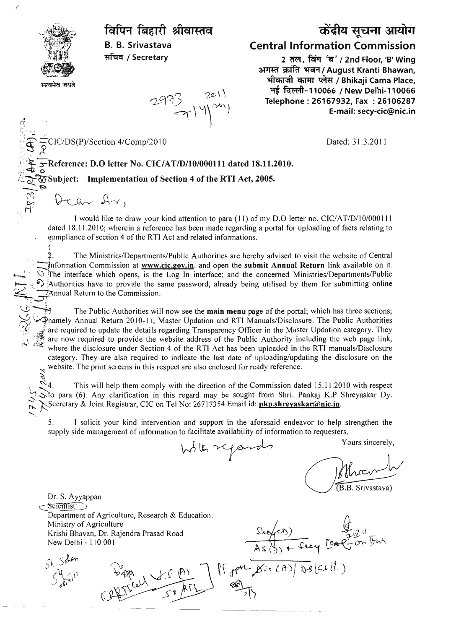

,/

•*t;;:* r:; ..

 $5^{\prime}$   $\approx$  ,

 $\sim$   $\sim$   $\sim$ 

## विपिन बिहारी श्रीवास्तव

B. B. Srivastava सचिव / Secretary

 $2933$   $201$ <br> $7140$ 

## केंद्रीय सूचना आयोग Central Information Commission

2 तल, विंग 'ब' / 2nd Floor, 'B' Wing अगस्त क्रांति भवन / August Kranti Bhawan, भीकाजी कामा प्लेस / Bhikaji Cama Place, मई विल्ली-110066 / New Delhi-110066 Telephone: 26167932, Fax: 26106287 E-mail: secy-cic@nic.in

CIC/DS(P)/Section 4/Comp/2010

Dated: 31.3.2011

\_.-!...- !.;.:t ;-Reference: D.O letter No. CIC/AT/D/I0/000111 dated 18.11.2010.

L~ooSubject: Implementation of Section 4 of the RTI Act, 2005.

 $P \rightarrow$  $\frac{1}{2}$ <br> $\frac{1}{2}$ <br> $\frac{1}{2}$ <br> $\frac{1}{2}$ <br> $\frac{1}{2}$ <br> $\frac{1}{2}$ <br> $\frac{1}{2}$ <br> $\frac{1}{2}$ <br> $\frac{1}{2}$ <br> $\frac{1}{2}$ <br> $\frac{1}{2}$ <br> $\frac{1}{2}$ <br> $\frac{1}{2}$ <br> $\frac{1}{2}$ <br> $\frac{1}{2}$ <br> $\frac{1}{2}$ <br> $\frac{1}{2}$ <br> $\frac{1}{2}$ <br> $\frac{1}{2}$ <br> $\frac{1}{2}$ <br> $\frac{1}{2}$  $\theta$ ear  $H$ r,

I would like to draw your kind attention to para (11) of my D.O letter no. CIC/AT/D/10/000111 dated 18.11.2010; wherein a reference has been made regarding a portal for uploading of facts relating to ~ompliance of section 4 of the RTI Act and related informations.

~. The Ministries/Departments/Public Authorities are hereby advised to visit the website of Central Information Commission at www.cic.gov.in. and open the submit Annual Return link available on it.  $\circlearrowright$  . The interface which opens, is the Log In interface; and the concerned Ministries/Departments/Public  $\Omega$ : Authorities have to provide the same password, already being utilised by them for submitting online  $\frac{1}{2}$ Annual Return to the Commission.

The Public Authorities will now see the **main menu** page of the portal; which has three sections; ~; Wnamely Annual Return 2010-11, Master Updation and RTI Manuals/Disclosure. The Public Authorities are required to update the details regarding Transparency Officer in the Master Updation category. They are now required to provide the website address of the Public Authority including the web page link, بين where the disclosure under Section 4 of the RTI Act has been uploaded in the RTI manuals/Disclosure category. They are also required to indicate the last date of uploading/updating the disclosure on the website. The print screens in this respect are also enclosed for ready reference.<br> $\approx$  4. This will help them comply with the direction of the Commission dat

This will help them comply with the direction of the Commission dated 15.11.2010 with respect  $\Im$  to para (6). Any clarification in this regard may be sought from Shri. Pankaj K.P Shreyaskar Dy. Secretary & Joint Registrar, CIC on Tel No: 26717354 Email id: **pkp.shreyaskar@nic.in**.

5. I solicit your kind intervention and support in the aforesaid endeavor to help strengthen the supply side management of information to facilitate availability of information to requesters.

With regards

Yours sincerely,

(B.B. Srivastava)

Dr. S. Ayyappan cSCCen1iSF:J Department of Agriculture, Research & Education. Ministry of Agriculture Krishi Bhavan, Dr. Rajendra Prasad Road New Delhi - 110001

Sh. Sohar

 $S^{\lambda}$ 

 $CPQSTL = \frac{P(1)}{P(1)}$ 

) Eag<sup>201</sup> ~~  $P(P_{\text{gpt}} \sim X \approx eA) \sqrt{D_{\text{g}}(cH)}$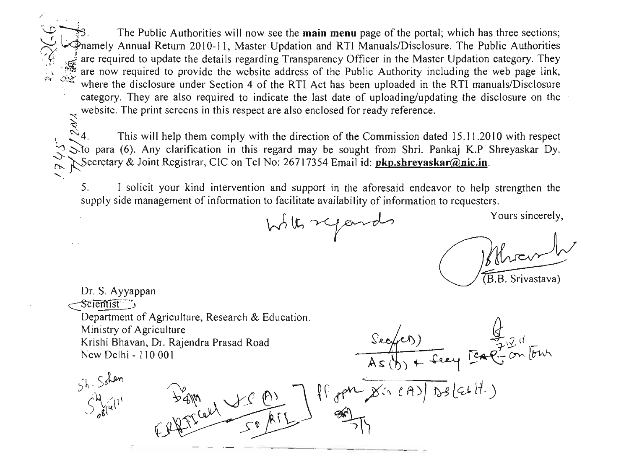The Public Authorities will now see the **main menu** page of the portal; which has three sections; ~ l.4namely Annual Return 2010-11, Master Updation and RTI ManualslDisclosure. The Public Authorities are required to update the details regarding Transparency Officer in the Master Updation category. They are now required to provide the website address of the Public Authority including the web page link, where the disclosure under Section 4 of the RTI Act has been uploaded in the RTI manuals/Disclosure category. They are also required to indicate the last date of uploading/updating the disclosure on the website. The print screens in this respect are also enclosed for ready reference.<br> $\approx 4$ . This will help them comply with the direction of the Commission dat

/

This will help them comply with the direction of the Commission dated 15.11.2010 with respect to para (6). Any clarification in this regard may be sought from Shri. Pankaj K.P Shreyaskar Dy. ~ ~Secretary & Joint Registrar, CIC on Tel No: 26717354 Email id:pkp.shl·eyaskar@nic.in.

5. I solicit your kind intervention and support in the aforesaid endeavor to help strengthen the supply side management of information to facilitate availability of information to requesters.

With regards

Yours sincerely,

B.B. Srivastava)

Dr. S. Ayyappan Scientist Department of Agriculture, Research & Education. Ministry of Agriculture  $\frac{\sqrt{2}}{As(b)} = \frac{\sqrt{2}}{3}$ <br> $\frac{1}{2}$ <br> $\frac{1}{2}$ <br> $\frac{1}{2}$ <br> $\frac{1}{2}$ <br> $\frac{1}{2}$ <br> $\frac{1}{2}$ <br> $\frac{1}{2}$ <br> $\frac{1}{2}$ <br> $\frac{1}{2}$ <br> $\frac{1}{2}$ <br> $\frac{1}{2}$ <br> $\frac{1}{2}$ <br> $\frac{1}{2}$ <br> $\frac{1}{2}$ <br> $\frac{1}{2}$ <br> $\frac{1}{2}$ <br> $\frac{1}{2}$ <br> $\frac{1}{2}$ <br> $\frac{1}{2}$ Krishi Bhavan, Dr. Rajendra Prasad Road New Delhi - 110001  $F_{4M}$  J  $f$  (A)  $\rightarrow$  If  $_{q}$   $_{q}$   $_{p}$   $_{p}$   $_{p}$   $_{p}$   $_{p}$   $_{p}$   $_{p}$   $_{p}$   $_{p}$   $_{p}$   $_{p}$   $_{p}$   $_{p}$   $_{p}$   $_{p}$   $_{p}$   $_{p}$   $_{p}$   $_{p}$   $_{p}$   $_{p}$   $_{p}$   $_{p}$   $_{p}$   $_{p}$   $_{p}$   $_{p}$   $_{p}$   $_{p}$   $_{p}$   $_{p}$  $5h.$  Solar bam<br>(priced of a  $\mathcal{S}^{\lambda}$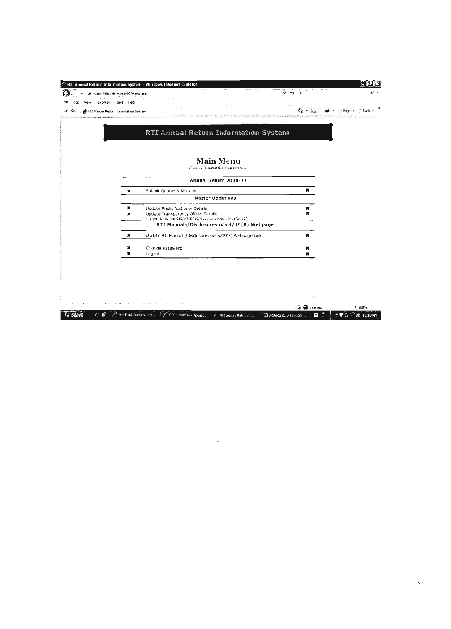|                                      | http://rtlar.nic.in/rtlar09/manu.asp |                                                                                               |   |  |
|--------------------------------------|--------------------------------------|-----------------------------------------------------------------------------------------------|---|--|
| Favorites                            | Tools<br>Holp                        |                                                                                               |   |  |
| RTI Annual Return Information System |                                      |                                                                                               |   |  |
|                                      |                                      |                                                                                               |   |  |
|                                      |                                      | RTI Annual Return Information System                                                          |   |  |
|                                      |                                      |                                                                                               |   |  |
|                                      |                                      |                                                                                               |   |  |
|                                      |                                      | <b>Main Menu</b>                                                                              |   |  |
|                                      |                                      | (Central Information Commission)                                                              |   |  |
|                                      |                                      |                                                                                               |   |  |
|                                      |                                      | Annual Return 2010-11                                                                         |   |  |
|                                      | ×                                    | Submit Quarterly Returns                                                                      | ж |  |
|                                      |                                      | <b>Master Updations</b>                                                                       |   |  |
|                                      | x                                    | Update Public Authority Details                                                               | π |  |
|                                      | ≖                                    | Update Transparency Officer Details<br>(As per Directive CIC/AT/D/10/000111 dated 15/11/2010) | × |  |
|                                      |                                      | RTI Manuals/Disclosures u/s 4/19(8) Webpage                                                   |   |  |
|                                      | ×                                    | Update RTI Manuals/Disclosures u/s 4/19(8) Webpage Link                                       | π |  |
|                                      | ×                                    | Change Password                                                                               | × |  |
|                                      | $\blacksquare$                       | Logout                                                                                        | х |  |

 $\label{eq:2.1} \frac{1}{\sqrt{2}}\int_{\mathbb{R}^3}\frac{1}{\sqrt{2}}\left(\frac{1}{\sqrt{2}}\right)^2\frac{1}{\sqrt{2}}\left(\frac{1}{\sqrt{2}}\right)^2\frac{1}{\sqrt{2}}\left(\frac{1}{\sqrt{2}}\right)^2\frac{1}{\sqrt{2}}\left(\frac{1}{\sqrt{2}}\right)^2.$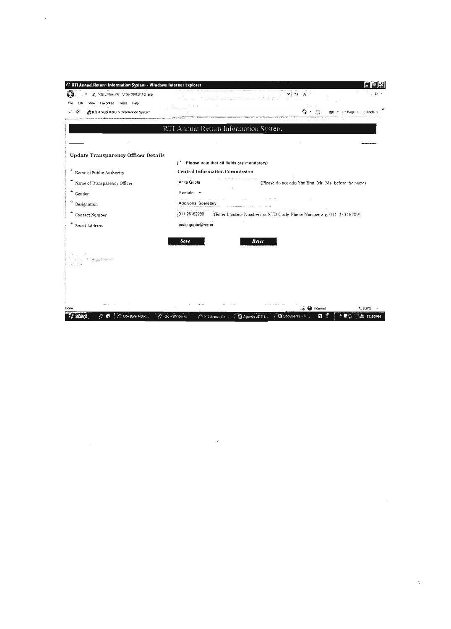| RTI Annual Return Information System - Windows Internet Explorer |                                                              |                                                                            |
|------------------------------------------------------------------|--------------------------------------------------------------|----------------------------------------------------------------------------|
| 2. http://rtiar.nic.in/rtiar09/EditTO.asp                        |                                                              |                                                                            |
| Favorites Tools Help                                             |                                                              |                                                                            |
| RTI Annual Return Information System                             |                                                              |                                                                            |
|                                                                  |                                                              |                                                                            |
|                                                                  | RTI Annual Return Information System                         |                                                                            |
|                                                                  |                                                              |                                                                            |
| <b>Update Transparency Officer Details</b>                       |                                                              |                                                                            |
|                                                                  | (" Please note that all fields are mandatory)                |                                                                            |
| Name of Public Authority                                         | Central Information Commission                               |                                                                            |
| Name of Transparency Officer                                     | Anita Gupta                                                  | (Please do not add Shri'Smt. Mr. Ms. before the name)                      |
| Gender                                                           | Female $\sim$                                                |                                                                            |
| Designation                                                      | Additional Sceretary                                         |                                                                            |
| Contact Number                                                   | 011-26162290                                                 | (Enter Landline Numbers as STD Code-Phone Number e g. 011-23346789)        |
| Email Address                                                    | anita gupta@nic in                                           |                                                                            |
|                                                                  |                                                              |                                                                            |
|                                                                  | Save                                                         | Reset                                                                      |
|                                                                  |                                                              |                                                                            |
|                                                                  |                                                              |                                                                            |
|                                                                  |                                                              |                                                                            |
|                                                                  |                                                              |                                                                            |
|                                                                  |                                                              |                                                                            |
|                                                                  |                                                              |                                                                            |
| C. Uso Bank Notk<br>æ<br>stan                                    | A. Chi - Wasdons<br>$\mathscr{E}^{\mathbb{Q}}$ PTI Armual Pe | internet<br>*. 100%<br><b>W</b> Documents - M.<br>$14$ Agenda $22.31$<br>2 |

 $\mathcal{F}^{\text{max}}_{\text{max}}$